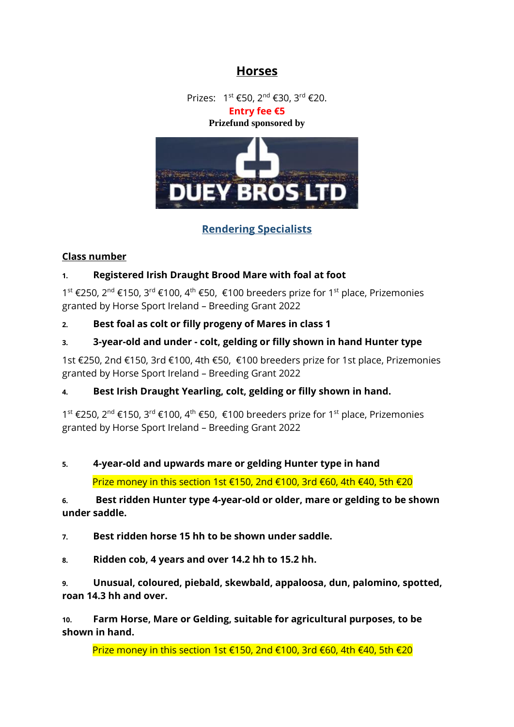# **Horses**

Prizes: 1<sup>st</sup> €50, 2<sup>nd</sup> €30, 3<sup>rd</sup> €20. **Entry fee €5**

#### **Prizefund sponsored by**



## **Rendering Specialists**

#### **Class number**

#### **1. Registered Irish Draught Brood Mare with foal at foot**

1<sup>st</sup> €250, 2<sup>nd</sup> €150, 3<sup>rd</sup> €100, 4<sup>th</sup> €50, €100 breeders prize for 1<sup>st</sup> place, Prizemonies granted by Horse Sport Ireland – Breeding Grant 2022

#### **2. Best foal as colt or filly progeny of Mares in class 1**

#### **3. 3-year-old and under - colt, gelding or filly shown in hand Hunter type**

1st €250, 2nd €150, 3rd €100, 4th €50, €100 breeders prize for 1st place, Prizemonies granted by Horse Sport Ireland – Breeding Grant 2022

### **4. Best Irish Draught Yearling, colt, gelding or filly shown in hand.**

1<sup>st</sup> €250, 2<sup>nd</sup> €150, 3<sup>rd</sup> €100, 4<sup>th</sup> €50, €100 breeders prize for 1<sup>st</sup> place, Prizemonies granted by Horse Sport Ireland – Breeding Grant 2022

# **5. 4-year-old and upwards mare or gelding Hunter type in hand**

Prize money in this section 1st €150, 2nd €100, 3rd €60, 4th €40, 5th €20

#### **6. Best ridden Hunter type 4-year-old or older, mare or gelding to be shown under saddle.**

**7. Best ridden horse 15 hh to be shown under saddle.**

**8. Ridden cob, 4 years and over 14.2 hh to 15.2 hh.**

**9. Unusual, coloured, piebald, skewbald, appaloosa, dun, palomino, spotted, roan 14.3 hh and over.** 

**10. Farm Horse, Mare or Gelding, suitable for agricultural purposes, to be shown in hand.** 

Prize money in this section 1st €150, 2nd €100, 3rd €60, 4th €40, 5th €20